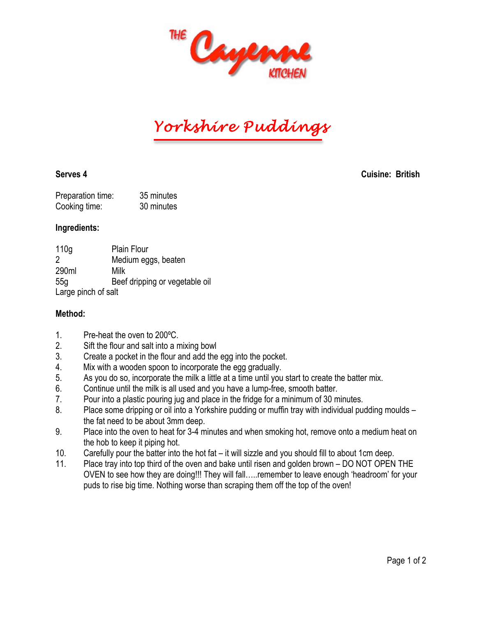

*Yorkshire Puddings* 

**Serves 4 Cuisine: British**

| Preparation time: | 35 minutes |
|-------------------|------------|
| Cooking time:     | 30 minutes |

### **Ingredients:**

| 110 <sub>g</sub>    | <b>Plain Flour</b>             |
|---------------------|--------------------------------|
| 2                   | Medium eggs, beaten            |
| 290ml               | Milk                           |
| 55q                 | Beef dripping or vegetable oil |
| Large pinch of salt |                                |

## **Method:**

- 1. Pre-heat the oven to 200ºC.
- 2. Sift the flour and salt into a mixing bowl
- 3. Create a pocket in the flour and add the egg into the pocket.
- 4. Mix with a wooden spoon to incorporate the egg gradually.
- 5. As you do so, incorporate the milk a little at a time until you start to create the batter mix.
- 6. Continue until the milk is all used and you have a lump-free, smooth batter.
- 7. Pour into a plastic pouring jug and place in the fridge for a minimum of 30 minutes.
- 8. Place some dripping or oil into a Yorkshire pudding or muffin tray with individual pudding moulds the fat need to be about 3mm deep.
- 9. Place into the oven to heat for 3-4 minutes and when smoking hot, remove onto a medium heat on the hob to keep it piping hot.
- 10. Carefully pour the batter into the hot fat it will sizzle and you should fill to about 1cm deep.
- 11. Place tray into top third of the oven and bake until risen and golden brown DO NOT OPEN THE OVEN to see how they are doing!!! They will fall…..remember to leave enough 'headroom' for your puds to rise big time. Nothing worse than scraping them off the top of the oven!